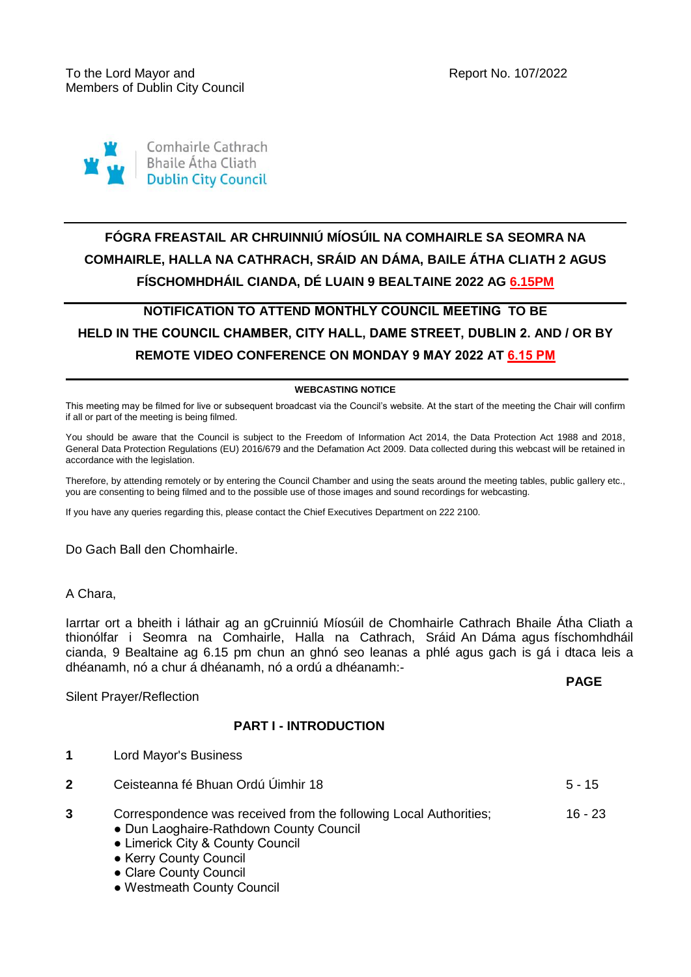

# **FÓGRA FREASTAIL AR CHRUINNIÚ MÍOSÚIL NA COMHAIRLE SA SEOMRA NA COMHAIRLE, HALLA NA CATHRACH, SRÁID AN DÁMA, BAILE ÁTHA CLIATH 2 AGUS FÍSCHOMHDHÁIL CIANDA, DÉ LUAIN 9 BEALTAINE 2022 AG 6.15PM**

## **NOTIFICATION TO ATTEND MONTHLY COUNCIL MEETING TO BE HELD IN THE COUNCIL CHAMBER, CITY HALL, DAME STREET, DUBLIN 2. AND / OR BY REMOTE VIDEO CONFERENCE ON MONDAY 9 MAY 2022 AT 6.15 PM**

#### **WEBCASTING NOTICE**

This meeting may be filmed for live or subsequent broadcast via the Council's website. At the start of the meeting the Chair will confirm if all or part of the meeting is being filmed.

You should be aware that the Council is subject to the Freedom of Information Act 2014, the Data Protection Act 1988 and 2018, General Data Protection Regulations (EU) 2016/679 and the Defamation Act 2009. Data collected during this webcast will be retained in accordance with the legislation.

Therefore, by attending remotely or by entering the Council Chamber and using the seats around the meeting tables, public gallery etc., you are consenting to being filmed and to the possible use of those images and sound recordings for webcasting.

If you have any queries regarding this, please contact the Chief Executives Department on 222 2100.

Do Gach Ball den Chomhairle.

A Chara,

Iarrtar ort a bheith i láthair ag an gCruinniú Míosúil de Chomhairle Cathrach Bhaile Átha Cliath a thionólfar i Seomra na Comhairle, Halla na Cathrach, Sráid An Dáma agus físchomhdháil cianda, 9 Bealtaine ag 6.15 pm chun an ghnó seo leanas a phlé agus gach is gá i dtaca leis a dhéanamh, nó a chur á dhéanamh, nó a ordú a dhéanamh:-

**PAGE**

#### Silent Prayer/Reflection

### **PART I - INTRODUCTION**

- **1** Lord Mayor's Business
- **2** Ceisteanna fé Bhuan Ordú Úimhir 18 **5 15** 5 15
- **3** Correspondence was received from the following Local Authorities; 16 - 23
	- Dun Laoghaire-Rathdown County Council
	- Limerick City & County Council
	- Kerry County Council
	- Clare County Council
	- Westmeath County Council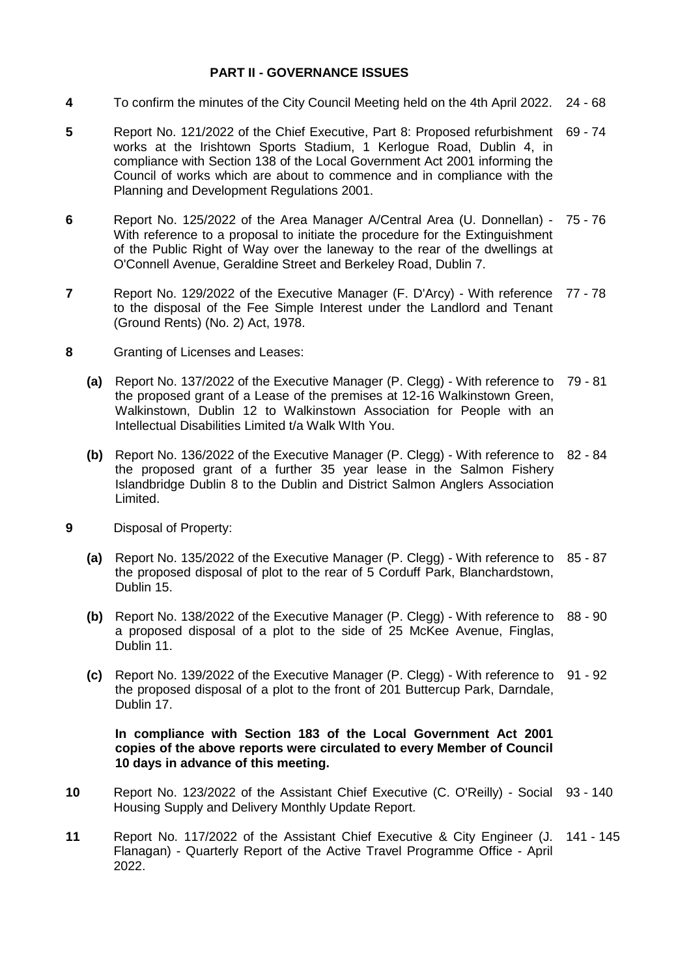### **PART II - GOVERNANCE ISSUES**

- **4** To confirm the minutes of the City Council Meeting held on the 4th April 2022. 24 68
- **5** Report No. 121/2022 of the Chief Executive, Part 8: Proposed refurbishment 69 74 works at the Irishtown Sports Stadium, 1 Kerlogue Road, Dublin 4, in compliance with Section 138 of the Local Government Act 2001 informing the Council of works which are about to commence and in compliance with the Planning and Development Regulations 2001.
- **6** Report No. 125/2022 of the Area Manager A/Central Area (U. Donnellan) 75 76 With reference to a proposal to initiate the procedure for the Extinguishment of the Public Right of Way over the laneway to the rear of the dwellings at O'Connell Avenue, Geraldine Street and Berkeley Road, Dublin 7.
- **7** Report No. 129/2022 of the Executive Manager (F. D'Arcy) With reference 77 78 to the disposal of the Fee Simple Interest under the Landlord and Tenant (Ground Rents) (No. 2) Act, 1978.
- **8** Granting of Licenses and Leases:
	- **(a)** Report No. 137/2022 of the Executive Manager (P. Clegg) With reference to 79 81 the proposed grant of a Lease of the premises at 12-16 Walkinstown Green, Walkinstown, Dublin 12 to Walkinstown Association for People with an Intellectual Disabilities Limited t/a Walk WIth You.
	- **(b)** Report No. 136/2022 of the Executive Manager (P. Clegg) With reference to 82 84 the proposed grant of a further 35 year lease in the Salmon Fishery Islandbridge Dublin 8 to the Dublin and District Salmon Anglers Association Limited.
- **9** Disposal of Property:
	- **(a)** Report No. 135/2022 of the Executive Manager (P. Clegg) With reference to 85 87 the proposed disposal of plot to the rear of 5 Corduff Park, Blanchardstown, Dublin 15.
	- **(b)** Report No. 138/2022 of the Executive Manager (P. Clegg) With reference to 88 90 a proposed disposal of a plot to the side of 25 McKee Avenue, Finglas, Dublin 11.
	- **(c)** Report No. 139/2022 of the Executive Manager (P. Clegg) With reference to 91 92 the proposed disposal of a plot to the front of 201 Buttercup Park, Darndale, Dublin 17.

#### **In compliance with Section 183 of the Local Government Act 2001 copies of the above reports were circulated to every Member of Council 10 days in advance of this meeting.**

- **10** Report No. 123/2022 of the Assistant Chief Executive (C. O'Reilly) Social 93 140 Housing Supply and Delivery Monthly Update Report.
- **11** Report No. 117/2022 of the Assistant Chief Executive & City Engineer (J. 141 145Flanagan) - Quarterly Report of the Active Travel Programme Office - April 2022.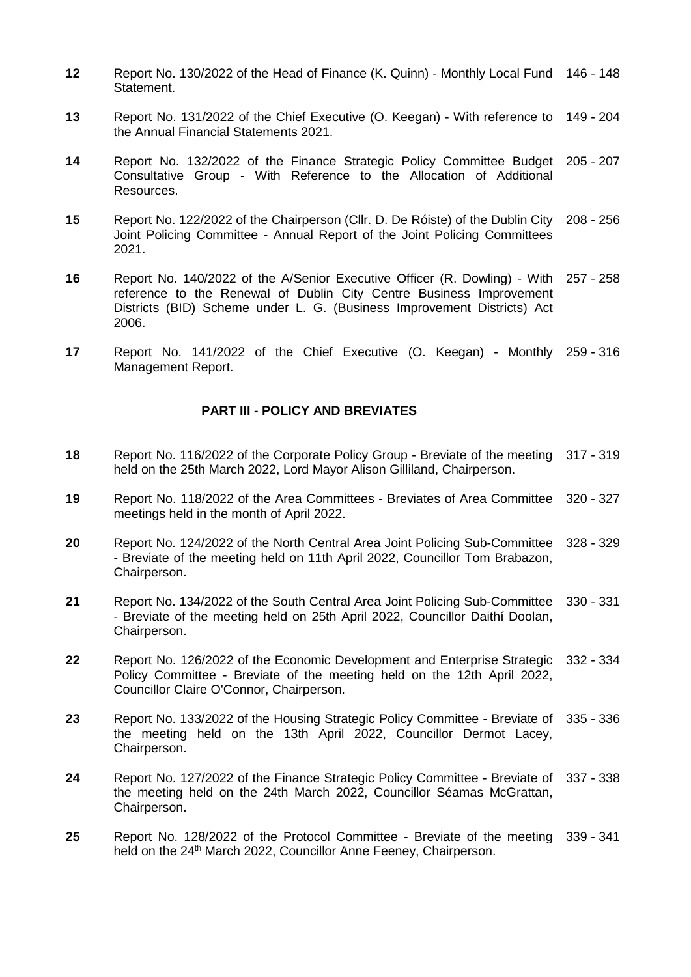- **12** Report No. 130/2022 of the Head of Finance (K. Quinn) Monthly Local Fund 146 148 Statement.
- **13** Report No. 131/2022 of the Chief Executive (O. Keegan) With reference to 149 204 the Annual Financial Statements 2021.
- **14** Report No. 132/2022 of the Finance Strategic Policy Committee Budget Consultative Group - With Reference to the Allocation of Additional Resources. 205 - 207
- **15** Report No. 122/2022 of the Chairperson (Cllr. D. De Róiste) of the Dublin City Joint Policing Committee - Annual Report of the Joint Policing Committees 2021. 208 - 256
- **16** Report No. 140/2022 of the A/Senior Executive Officer (R. Dowling) With 257 258 reference to the Renewal of Dublin City Centre Business Improvement Districts (BID) Scheme under L. G. (Business Improvement Districts) Act 2006.
- **17** Report No. 141/2022 of the Chief Executive (O. Keegan) Monthly 259 316 Management Report.

#### **PART III - POLICY AND BREVIATES**

- **18** Report No. 116/2022 of the Corporate Policy Group Breviate of the meeting 317 319 held on the 25th March 2022, Lord Mayor Alison Gilliland, Chairperson.
- **19** Report No. 118/2022 of the Area Committees Breviates of Area Committee 320 327 meetings held in the month of April 2022.
- **20** Report No. 124/2022 of the North Central Area Joint Policing Sub-Committee 328 329 - Breviate of the meeting held on 11th April 2022, Councillor Tom Brabazon, Chairperson.
- **21** Report No. 134/2022 of the South Central Area Joint Policing Sub-Committee - Breviate of the meeting held on 25th April 2022, Councillor Daithí Doolan, Chairperson. 330 - 331
- **22** Report No. 126/2022 of the Economic Development and Enterprise Strategic Policy Committee - Breviate of the meeting held on the 12th April 2022, Councillor Claire O'Connor, Chairperson. 332 - 334
- **23** Report No. 133/2022 of the Housing Strategic Policy Committee Breviate of the meeting held on the 13th April 2022, Councillor Dermot Lacey, Chairperson. 335 - 336
- **24** Report No. 127/2022 of the Finance Strategic Policy Committee Breviate of 337 338 the meeting held on the 24th March 2022, Councillor Séamas McGrattan, Chairperson.
- **25** Report No. 128/2022 of the Protocol Committee Breviate of the meeting 339 341held on the 24<sup>th</sup> March 2022, Councillor Anne Feeney, Chairperson.